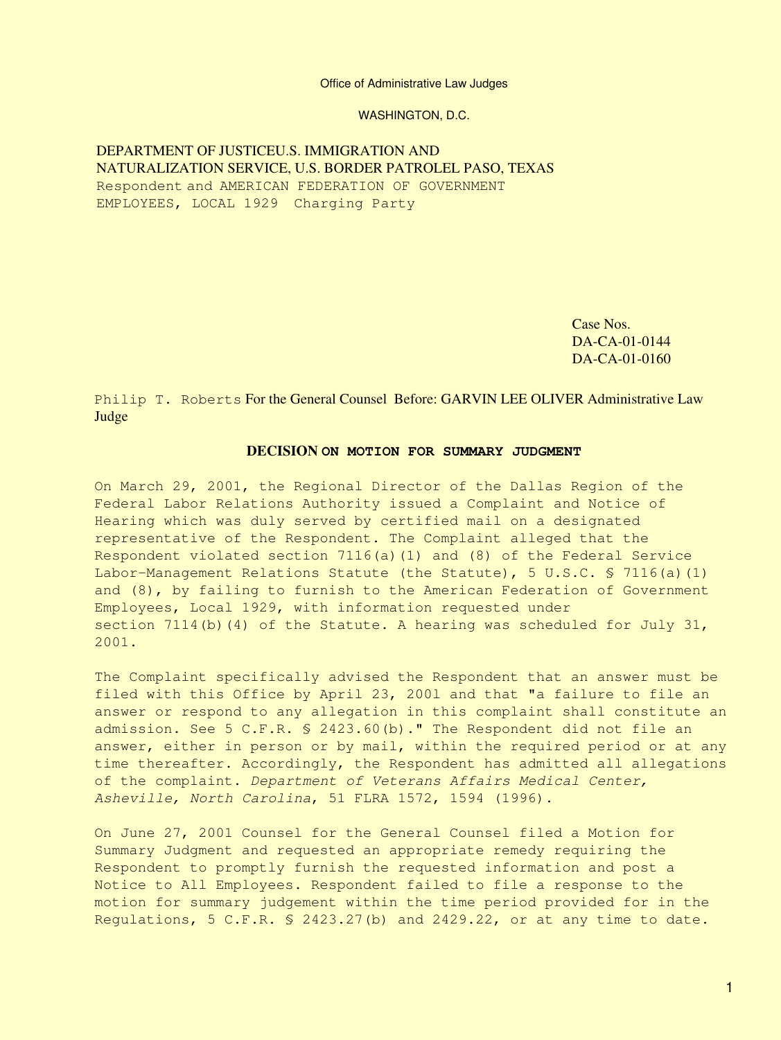Office of Administrative Law Judges

WASHINGTON, D.C.

DEPARTMENT OF JUSTICEU.S. IMMIGRATION AND NATURALIZATION SERVICE, U.S. BORDER PATROLEL PASO, TEXAS Respondent and AMERICAN FEDERATION OF GOVERNMENT EMPLOYEES, LOCAL 1929 Charging Party

> Case Nos. DA-CA-01-0144 DA-CA-01-0160

Philip T. Roberts For the General Counsel Before: GARVIN LEE OLIVER Administrative Law Judge

#### **DECISION ON MOTION FOR SUMMARY JUDGMENT**

On March 29, 2001, the Regional Director of the Dallas Region of the Federal Labor Relations Authority issued a Complaint and Notice of Hearing which was duly served by certified mail on a designated representative of the Respondent. The Complaint alleged that the Respondent violated section 7116(a)(1) and (8) of the Federal Service Labor-Management Relations Statute (the Statute), 5 U.S.C. § 7116(a)(1) and (8), by failing to furnish to the American Federation of Government Employees, Local 1929, with information requested under section 7114(b)(4) of the Statute. A hearing was scheduled for July 31, 2001.

The Complaint specifically advised the Respondent that an answer must be filed with this Office by April 23, 200l and that "a failure to file an answer or respond to any allegation in this complaint shall constitute an admission. See 5 C.F.R. § 2423.60(b)." The Respondent did not file an answer, either in person or by mail, within the required period or at any time thereafter. Accordingly, the Respondent has admitted all allegations of the complaint. *Department of Veterans Affairs Medical Center, Asheville, North Carolina*, 51 FLRA 1572, 1594 (1996).

On June 27, 2001 Counsel for the General Counsel filed a Motion for Summary Judgment and requested an appropriate remedy requiring the Respondent to promptly furnish the requested information and post a Notice to All Employees. Respondent failed to file a response to the motion for summary judgement within the time period provided for in the Regulations, 5 C.F.R. § 2423.27(b) and 2429.22, or at any time to date.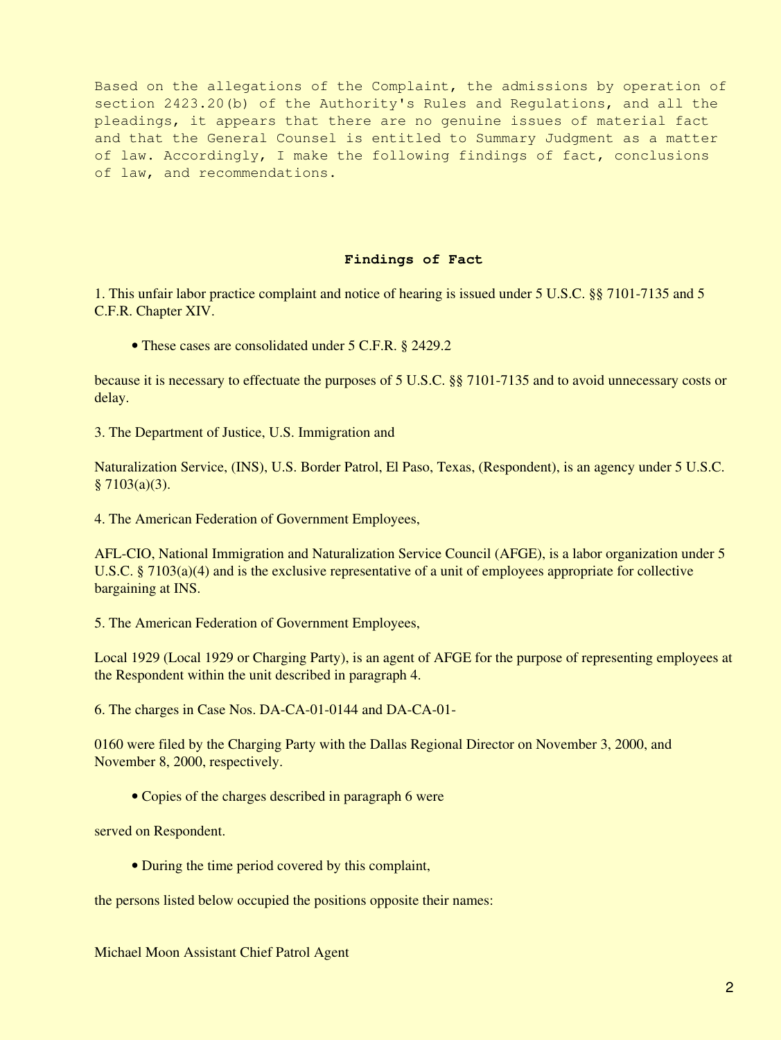Based on the allegations of the Complaint, the admissions by operation of section 2423.20(b) of the Authority's Rules and Regulations, and all the pleadings, it appears that there are no genuine issues of material fact and that the General Counsel is entitled to Summary Judgment as a matter of law. Accordingly, I make the following findings of fact, conclusions of law, and recommendations.

#### **Findings of Fact**

1. This unfair labor practice complaint and notice of hearing is issued under 5 U.S.C. §§ 7101-7135 and 5 C.F.R. Chapter XIV.

• These cases are consolidated under 5 C.F.R. § 2429.2

because it is necessary to effectuate the purposes of 5 U.S.C. §§ 7101-7135 and to avoid unnecessary costs or delay.

3. The Department of Justice, U.S. Immigration and

Naturalization Service, (INS), U.S. Border Patrol, El Paso, Texas, (Respondent), is an agency under 5 U.S.C.  $§ 7103(a)(3).$ 

4. The American Federation of Government Employees,

AFL-CIO, National Immigration and Naturalization Service Council (AFGE), is a labor organization under 5 U.S.C. § 7103(a)(4) and is the exclusive representative of a unit of employees appropriate for collective bargaining at INS.

5. The American Federation of Government Employees,

Local 1929 (Local 1929 or Charging Party), is an agent of AFGE for the purpose of representing employees at the Respondent within the unit described in paragraph 4.

6. The charges in Case Nos. DA-CA-01-0144 and DA-CA-01-

0160 were filed by the Charging Party with the Dallas Regional Director on November 3, 2000, and November 8, 2000, respectively.

• Copies of the charges described in paragraph 6 were

served on Respondent.

• During the time period covered by this complaint,

the persons listed below occupied the positions opposite their names:

Michael Moon Assistant Chief Patrol Agent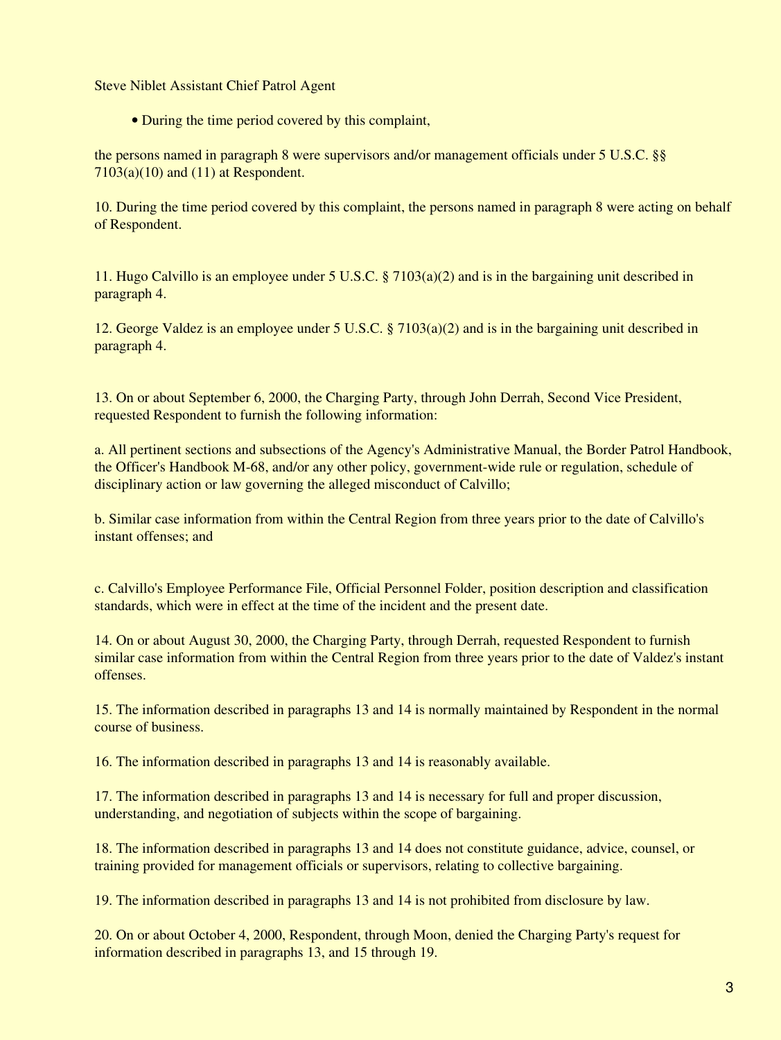Steve Niblet Assistant Chief Patrol Agent

• During the time period covered by this complaint,

the persons named in paragraph 8 were supervisors and/or management officials under 5 U.S.C. §§  $7103(a)(10)$  and  $(11)$  at Respondent.

10. During the time period covered by this complaint, the persons named in paragraph 8 were acting on behalf of Respondent.

11. Hugo Calvillo is an employee under 5 U.S.C. § 7103(a)(2) and is in the bargaining unit described in paragraph 4.

12. George Valdez is an employee under 5 U.S.C. § 7103(a)(2) and is in the bargaining unit described in paragraph 4.

13. On or about September 6, 2000, the Charging Party, through John Derrah, Second Vice President, requested Respondent to furnish the following information:

a. All pertinent sections and subsections of the Agency's Administrative Manual, the Border Patrol Handbook, the Officer's Handbook M-68, and/or any other policy, government-wide rule or regulation, schedule of disciplinary action or law governing the alleged misconduct of Calvillo;

b. Similar case information from within the Central Region from three years prior to the date of Calvillo's instant offenses; and

c. Calvillo's Employee Performance File, Official Personnel Folder, position description and classification standards, which were in effect at the time of the incident and the present date.

14. On or about August 30, 2000, the Charging Party, through Derrah, requested Respondent to furnish similar case information from within the Central Region from three years prior to the date of Valdez's instant offenses.

15. The information described in paragraphs 13 and 14 is normally maintained by Respondent in the normal course of business.

16. The information described in paragraphs 13 and 14 is reasonably available.

17. The information described in paragraphs 13 and 14 is necessary for full and proper discussion, understanding, and negotiation of subjects within the scope of bargaining.

18. The information described in paragraphs 13 and 14 does not constitute guidance, advice, counsel, or training provided for management officials or supervisors, relating to collective bargaining.

19. The information described in paragraphs 13 and 14 is not prohibited from disclosure by law.

20. On or about October 4, 2000, Respondent, through Moon, denied the Charging Party's request for information described in paragraphs 13, and 15 through 19.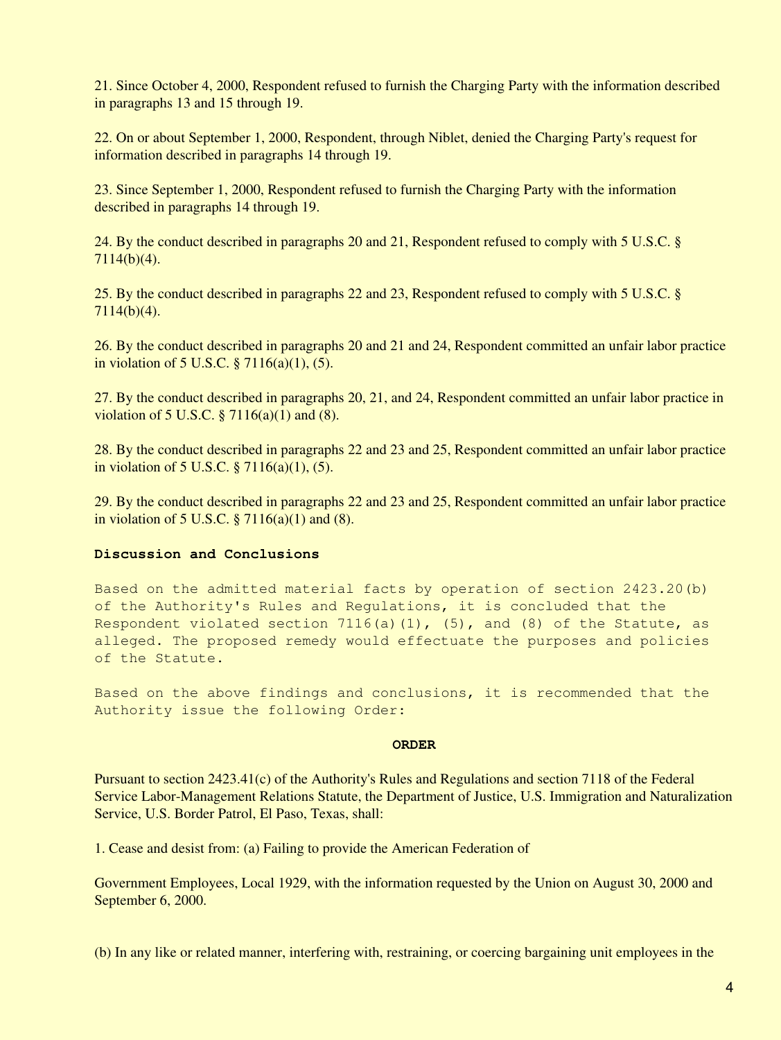21. Since October 4, 2000, Respondent refused to furnish the Charging Party with the information described in paragraphs 13 and 15 through 19.

22. On or about September 1, 2000, Respondent, through Niblet, denied the Charging Party's request for information described in paragraphs 14 through 19.

23. Since September 1, 2000, Respondent refused to furnish the Charging Party with the information described in paragraphs 14 through 19.

24. By the conduct described in paragraphs 20 and 21, Respondent refused to comply with 5 U.S.C. § 7114(b)(4).

25. By the conduct described in paragraphs 22 and 23, Respondent refused to comply with 5 U.S.C. § 7114(b)(4).

26. By the conduct described in paragraphs 20 and 21 and 24, Respondent committed an unfair labor practice in violation of 5 U.S.C. § 7116(a)(1), (5).

27. By the conduct described in paragraphs 20, 21, and 24, Respondent committed an unfair labor practice in violation of 5 U.S.C.  $\S 7116(a)(1)$  and (8).

28. By the conduct described in paragraphs 22 and 23 and 25, Respondent committed an unfair labor practice in violation of 5 U.S.C. § 7116(a)(1), (5).

29. By the conduct described in paragraphs 22 and 23 and 25, Respondent committed an unfair labor practice in violation of 5 U.S.C.  $\S 7116(a)(1)$  and (8).

#### **Discussion and Conclusions**

Based on the admitted material facts by operation of section 2423.20(b) of the Authority's Rules and Regulations, it is concluded that the Respondent violated section 7116(a)(1),  $(5)$ , and (8) of the Statute, as alleged. The proposed remedy would effectuate the purposes and policies of the Statute.

Based on the above findings and conclusions, it is recommended that the Authority issue the following Order:

#### **ORDER**

Pursuant to section 2423.41(c) of the Authority's Rules and Regulations and section 7118 of the Federal Service Labor-Management Relations Statute, the Department of Justice, U.S. Immigration and Naturalization Service, U.S. Border Patrol, El Paso, Texas, shall:

1. Cease and desist from: (a) Failing to provide the American Federation of

Government Employees, Local 1929, with the information requested by the Union on August 30, 2000 and September 6, 2000.

(b) In any like or related manner, interfering with, restraining, or coercing bargaining unit employees in the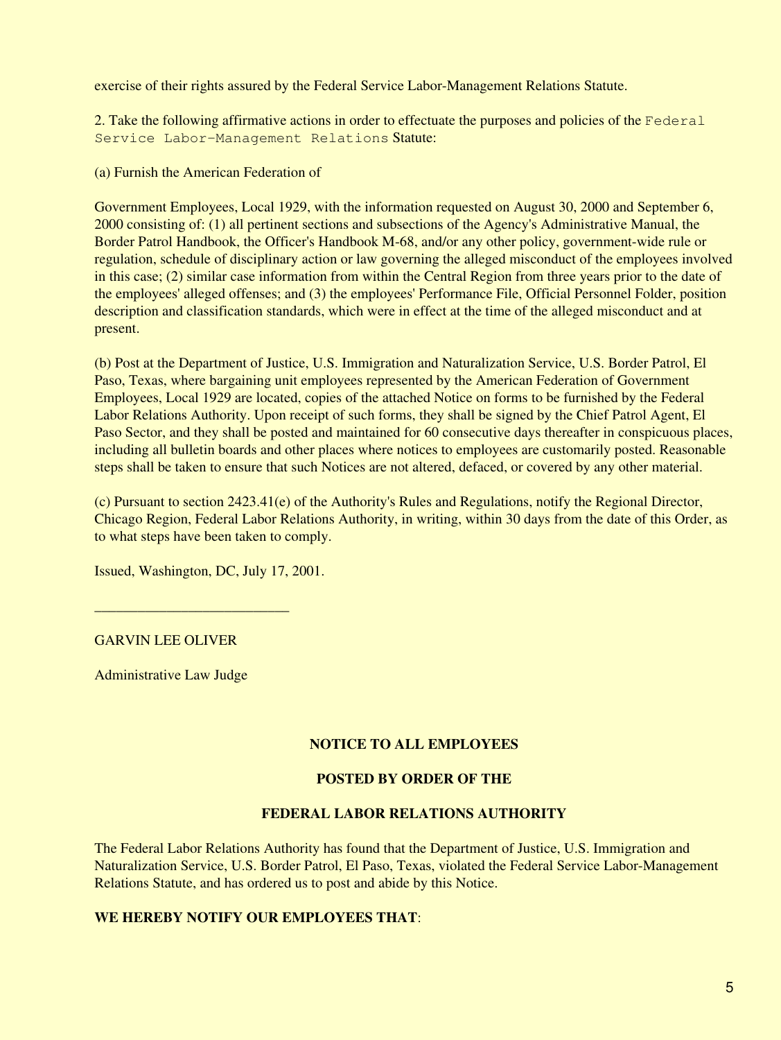exercise of their rights assured by the Federal Service Labor-Management Relations Statute.

2. Take the following affirmative actions in order to effectuate the purposes and policies of the Federal Service Labor-Management Relations Statute:

(a) Furnish the American Federation of

Government Employees, Local 1929, with the information requested on August 30, 2000 and September 6, 2000 consisting of: (1) all pertinent sections and subsections of the Agency's Administrative Manual, the Border Patrol Handbook, the Officer's Handbook M-68, and/or any other policy, government-wide rule or regulation, schedule of disciplinary action or law governing the alleged misconduct of the employees involved in this case; (2) similar case information from within the Central Region from three years prior to the date of the employees' alleged offenses; and (3) the employees' Performance File, Official Personnel Folder, position description and classification standards, which were in effect at the time of the alleged misconduct and at present.

(b) Post at the Department of Justice, U.S. Immigration and Naturalization Service, U.S. Border Patrol, El Paso, Texas, where bargaining unit employees represented by the American Federation of Government Employees, Local 1929 are located, copies of the attached Notice on forms to be furnished by the Federal Labor Relations Authority. Upon receipt of such forms, they shall be signed by the Chief Patrol Agent, El Paso Sector, and they shall be posted and maintained for 60 consecutive days thereafter in conspicuous places, including all bulletin boards and other places where notices to employees are customarily posted. Reasonable steps shall be taken to ensure that such Notices are not altered, defaced, or covered by any other material.

(c) Pursuant to section 2423.41(e) of the Authority's Rules and Regulations, notify the Regional Director, Chicago Region, Federal Labor Relations Authority, in writing, within 30 days from the date of this Order, as to what steps have been taken to comply.

Issued, Washington, DC, July 17, 2001.

\_\_\_\_\_\_\_\_\_\_\_\_\_\_\_\_\_\_\_\_\_\_\_\_\_\_\_

## GARVIN LEE OLIVER

Administrative Law Judge

## **NOTICE TO ALL EMPLOYEES**

## **POSTED BY ORDER OF THE**

### **FEDERAL LABOR RELATIONS AUTHORITY**

The Federal Labor Relations Authority has found that the Department of Justice, U.S. Immigration and Naturalization Service, U.S. Border Patrol, El Paso, Texas, violated the Federal Service Labor-Management Relations Statute, and has ordered us to post and abide by this Notice.

# **WE HEREBY NOTIFY OUR EMPLOYEES THAT**: